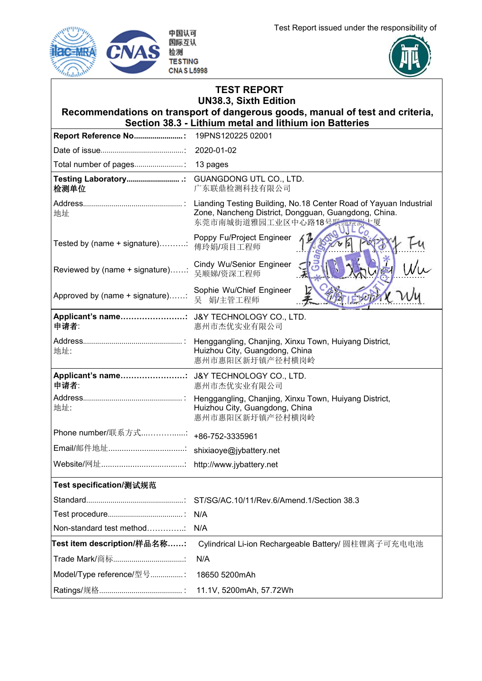Test Report issued under the responsibility of





|                                                                          | <b>TEST REPORT</b><br><b>UN38.3, Sixth Edition</b><br>Recommendations on transport of dangerous goods, manual of test and criteria,<br>Section 38.3 - Lithium metal and lithium ion Batteries |
|--------------------------------------------------------------------------|-----------------------------------------------------------------------------------------------------------------------------------------------------------------------------------------------|
|                                                                          |                                                                                                                                                                                               |
|                                                                          |                                                                                                                                                                                               |
|                                                                          |                                                                                                                                                                                               |
| Testing Laboratory .: GUANGDONG UTL CO., LTD.<br>检测单位                    | 广东联鼎检测科技有限公司                                                                                                                                                                                  |
| 地址                                                                       | Zone, Nancheng District, Dongguan, Guangdong, China.<br>东莞市南城街道雅园工业区中心路18号联界检测;                                                                                                               |
| Tested by (name + signature) 傅玲娟/项目工程师                                   | Poppy Fu/Project Engineer                                                                                                                                                                     |
| │Reviewed by (name + signature)……∶ Cindy Wu/Senior Engineer<br>吴顺娣/资深工程师 |                                                                                                                                                                                               |
| │<br>│Approved by (name + signature)……∶ 吴 娟/主管工程师                        | Sophie Wu/Chief Engineer                                                                                                                                                                      |
| 申请者:                                                                     | 惠州市杰优实业有限公司                                                                                                                                                                                   |
| 地址:                                                                      | Huizhou City, Guangdong, China<br>惠州市惠阳区新圩镇产径村横岗岭                                                                                                                                             |
| Applicant's name: J&Y TECHNOLOGY CO., LTD.<br>申请者:                       | 惠州市杰优实业有限公司                                                                                                                                                                                   |
| 地址:                                                                      | Huizhou City, Guangdong, China<br>惠州市惠阳区新圩镇产径村横岗岭                                                                                                                                             |
| │Phone number/联系方式……………∶ <sub>+86-</sub> 752-3335961                     |                                                                                                                                                                                               |
|                                                                          |                                                                                                                                                                                               |
|                                                                          |                                                                                                                                                                                               |
| Test specification/测试规范                                                  |                                                                                                                                                                                               |
|                                                                          |                                                                                                                                                                                               |
|                                                                          |                                                                                                                                                                                               |
| Non-standard test method                                                 | N/A                                                                                                                                                                                           |
| Test item description/样品名称……:                                            | Cylindrical Li-ion Rechargeable Battery/ 圆柱锂离子可充电电池                                                                                                                                           |
|                                                                          | N/A                                                                                                                                                                                           |
| Model/Type reference/型号:                                                 | 18650 5200mAh                                                                                                                                                                                 |
|                                                                          | 11.1V, 5200mAh, 57.72Wh                                                                                                                                                                       |
|                                                                          |                                                                                                                                                                                               |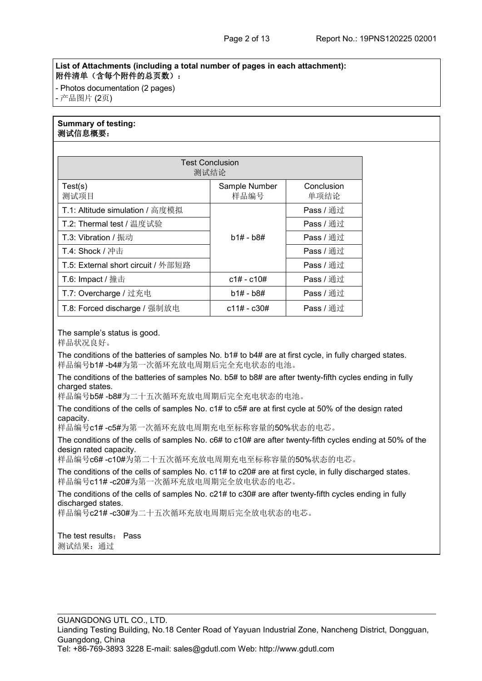## **List of Attachments (including a total number of pages in each attachment):** 附件清单(含每个附件的总页数):

- Photos documentation (2 pages) - 产品图片 (2页)

# **Summary of testing:** 测试信息概要:

|                                    | <b>Test Conclusion</b><br>测试结论 |                    |
|------------------------------------|--------------------------------|--------------------|
| Test(s)<br>测试项目                    | Sample Number<br>样品编号          | Conclusion<br>单项结论 |
| T.1: Altitude simulation / 高度模拟    |                                | Pass / 通过          |
| T.2: Thermal test / 温度试验           | $b1# - b8#$                    | Pass / 通过          |
| T.3: Vibration / 振动                |                                | Pass / 通过          |
| T.4: Shock / 冲击                    |                                | Pass / 通过          |
| T.5: External short circuit / 外部短路 |                                | Pass / 通过          |
| T.6: Impact / 撞击                   | $c1# - c10#$                   | Pass / 通过          |
| T.7: Overcharge / 过充电              | $b1# - b8#$                    | Pass / 通过          |
| T.8: Forced discharge / 强制放电       | c11# - c30#                    | Pass / 通过          |

## The sample's status is good.

样品状况良好。

The conditions of the batteries of samples No. b1# to b4# are at first cycle, in fully charged states. 样品编号b1# -b4#为第一次循环充放电周期后完全充电状态的电池。

The conditions of the batteries of samples No. b5# to b8# are after twenty-fifth cycles ending in fully charged states.

样品编号b5# -b8#为二十五次循环充放电周期后完全充电状态的电池。

The conditions of the cells of samples No. c1# to c5# are at first cycle at 50% of the design rated capacity.

样品编号c1# -c5#为第一次循环充放电周期充电至标称容量的50%状态的电芯。

The conditions of the cells of samples No. c6# to c10# are after twenty-fifth cycles ending at 50% of the design rated capacity.

样品编号c6# -c10#为第二十五次循环充放电周期充电至标称容量的50%状态的电芯。

The conditions of the cells of samples No. c11# to c20# are at first cycle, in fully discharged states. 样品编号c11# -c20#为第一次循环充放电周期完全放电状态的电芯。

The conditions of the cells of samples No. c21# to c30# are after twenty-fifth cycles ending in fully discharged states.

样品编号c21# -c30#为二十五次循环充放电周期后完全放电状态的电芯。

The test results: Pass 测试结果:通过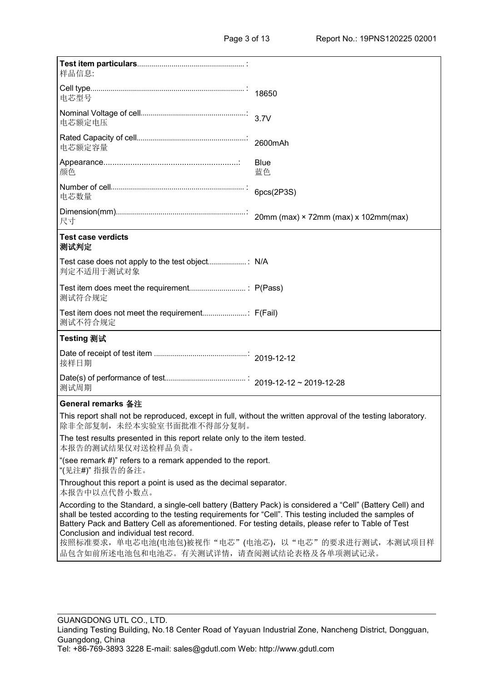| 样品信息:                                                                                                                                                                                                                                                                                                                                                                                                                     |                   |
|---------------------------------------------------------------------------------------------------------------------------------------------------------------------------------------------------------------------------------------------------------------------------------------------------------------------------------------------------------------------------------------------------------------------------|-------------------|
| 电芯型号                                                                                                                                                                                                                                                                                                                                                                                                                      |                   |
| 电芯额定电压                                                                                                                                                                                                                                                                                                                                                                                                                    |                   |
| 电芯额定容量                                                                                                                                                                                                                                                                                                                                                                                                                    |                   |
| 颜色                                                                                                                                                                                                                                                                                                                                                                                                                        | <b>Blue</b><br>蓝色 |
| 电芯数量                                                                                                                                                                                                                                                                                                                                                                                                                      | 6pcs(2P3S)        |
| 尺寸                                                                                                                                                                                                                                                                                                                                                                                                                        |                   |
| <b>Test case verdicts</b><br>测试判定                                                                                                                                                                                                                                                                                                                                                                                         |                   |
| 判定不适用于测试对象                                                                                                                                                                                                                                                                                                                                                                                                                |                   |
| 测试符合规定                                                                                                                                                                                                                                                                                                                                                                                                                    |                   |
| 测试不符合规定                                                                                                                                                                                                                                                                                                                                                                                                                   |                   |
| Testing 测试                                                                                                                                                                                                                                                                                                                                                                                                                |                   |
| 接样日期                                                                                                                                                                                                                                                                                                                                                                                                                      |                   |
| 测试周期                                                                                                                                                                                                                                                                                                                                                                                                                      |                   |
| <b>General remarks 备注</b>                                                                                                                                                                                                                                                                                                                                                                                                 |                   |
| This report shall not be reproduced, except in full, without the written approval of the testing laboratory.<br>除非全部复制, 未经本实验室书面批准不得部分复制。                                                                                                                                                                                                                                                                                 |                   |
| The test results presented in this report relate only to the item tested.<br>本报告的测试结果仅对送检样品负责。                                                                                                                                                                                                                                                                                                                            |                   |
| "(see remark #)" refers to a remark appended to the report.<br>"(见注#)" 指报告的备注。                                                                                                                                                                                                                                                                                                                                            |                   |
| Throughout this report a point is used as the decimal separator.<br>本报告中以点代替小数点。                                                                                                                                                                                                                                                                                                                                          |                   |
| According to the Standard, a single-cell battery (Battery Pack) is considered a "Cell" (Battery Cell) and<br>shall be tested according to the testing requirements for "Cell". This testing included the samples of<br>Battery Pack and Battery Cell as aforementioned. For testing details, please refer to Table of Test<br>Conclusion and individual test record.<br>按照标准要求,单电芯电池(电池包)被视作"电芯"(电池芯),以"电芯"的要求进行测试,本测试项目样 |                   |
| 品包含如前所述电池包和电池芯。有关测试详情,请查阅测试结论表格及各单项测试记录。                                                                                                                                                                                                                                                                                                                                                                                  |                   |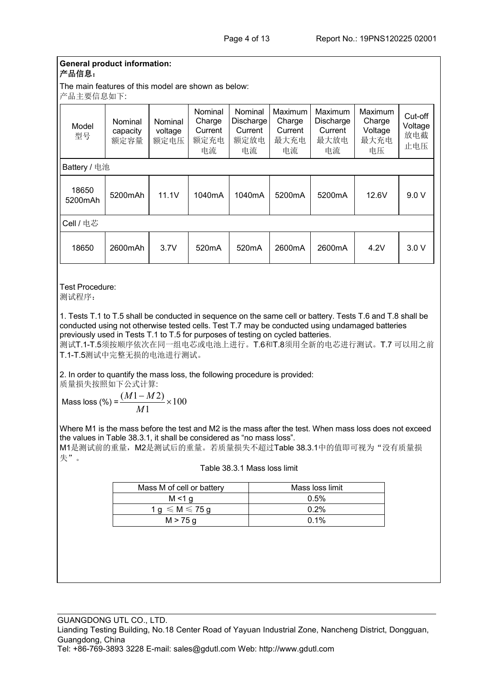#### **General product information:** 产品信息:

The main features of this model are shown as below:

产品主要信息如下:

| Model<br>型号      | Nominal<br>capacity<br>额定容量 | Nominal<br>voltage<br>额定电压 | Nominal<br>Charge<br>Current<br>额定充电<br>电流 | Nominal<br>Discharge<br>Current<br>额定放电<br>电流 | Maximum<br>Charge<br>Current<br>最大充电<br>电流 | Maximum<br>Discharge<br>Current<br>最大放电<br>电流 | Maximum<br>Charge<br>Voltage<br>最大充电<br>电压 | Cut-off<br>Voltage<br>放电截<br>止电压 |
|------------------|-----------------------------|----------------------------|--------------------------------------------|-----------------------------------------------|--------------------------------------------|-----------------------------------------------|--------------------------------------------|----------------------------------|
| Battery / 电池     |                             |                            |                                            |                                               |                                            |                                               |                                            |                                  |
| 18650<br>5200mAh | 5200mAh                     | 11.1V                      | 1040mA                                     | 1040mA                                        | 5200mA                                     | 5200mA                                        | 12.6V                                      | 9.0V                             |
| Cell / 电芯        |                             |                            |                                            |                                               |                                            |                                               |                                            |                                  |
| 18650            | 2600mAh                     | 3.7V                       | 520 <sub>m</sub> A                         | 520mA                                         | 2600mA                                     | 2600mA                                        | 4.2V                                       | 3.0V                             |

Test Procedure: 测试程序:

1. Tests T.1 to T.5 shall be conducted in sequence on the same cell or battery. Tests T.6 and T.8 shall be conducted using not otherwise tested cells. Test T.7 may be conducted using undamaged batteries previously used in Tests T.1 to T.5 for purposes of testing on cycled batteries. 测试T.1-T.5须按顺序依次在同一组电芯或电池上进行。T.6和T.8须用全新的电芯进行测试。T.7 可以用之前 T.1-T.5测试中完整无损的电池进行测试。

2. In order to quantify the mass loss, the following procedure is provided:

质量损失按照如下公式计算:

Mass loss (%) =  $\frac{(M+1)(M+2)}{M} \times 100$ 1  $\frac{(M1-M2)}{2} \times 100$ *M*  $M1 - M2$ )  $M200$ 

失"。

Where M1 is the mass before the test and M2 is the mass after the test. When mass loss does not exceed the values in Table 38.3.1, it shall be considered as "no mass loss". M1是测试前的重量, M2是测试后的重量。若质量损失不超过Table 38.3.1中的值即可视为"没有质量损

| Mass M of cell or battery        | Mass loss limit |
|----------------------------------|-----------------|
| M < 1 g                          | 0.5%            |
| $1 g \leqslant M \leqslant 75 g$ | 0.2%            |
| M > 75 g                         | $0.1\%$         |

Table 38.3.1 Mass loss limit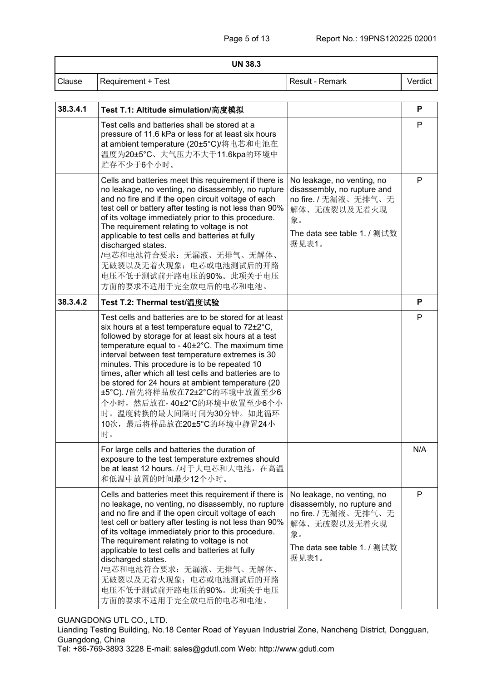| <b>UN 38.3</b> |                                                                                                                                                                                                                                                                                                                                                                                                                                                                                                                                                                                      |                                                                                                                                                 |         |  |
|----------------|--------------------------------------------------------------------------------------------------------------------------------------------------------------------------------------------------------------------------------------------------------------------------------------------------------------------------------------------------------------------------------------------------------------------------------------------------------------------------------------------------------------------------------------------------------------------------------------|-------------------------------------------------------------------------------------------------------------------------------------------------|---------|--|
| Clause         | Requirement + Test                                                                                                                                                                                                                                                                                                                                                                                                                                                                                                                                                                   | Result - Remark                                                                                                                                 | Verdict |  |
|                |                                                                                                                                                                                                                                                                                                                                                                                                                                                                                                                                                                                      |                                                                                                                                                 |         |  |
| 38.3.4.1       | Test T.1: Altitude simulation/高度模拟                                                                                                                                                                                                                                                                                                                                                                                                                                                                                                                                                   |                                                                                                                                                 | Ρ       |  |
|                | Test cells and batteries shall be stored at a<br>pressure of 11.6 kPa or less for at least six hours<br>at ambient temperature (20±5°C)/将电芯和电池在<br>温度为20±5°C、大气压力不大于11.6kpa的环境中<br>贮存不少于6个小时。                                                                                                                                                                                                                                                                                                                                                                                        |                                                                                                                                                 | P       |  |
|                | Cells and batteries meet this requirement if there is<br>no leakage, no venting, no disassembly, no rupture<br>and no fire and if the open circuit voltage of each<br>test cell or battery after testing is not less than 90%<br>of its voltage immediately prior to this procedure.<br>The requirement relating to voltage is not<br>applicable to test cells and batteries at fully<br>discharged states.<br>/电芯和电池符合要求: 无漏液、无排气、无解体、<br>无破裂以及无着火现象; 电芯或电池测试后的开路<br>电压不低于测试前开路电压的90%。此项关于电压<br>方面的要求不适用于完全放电后的电芯和电池。                                                               | No leakage, no venting, no<br>disassembly, no rupture and<br>no fire. / 无漏液、无排气、无<br>解体、无破裂以及无着火现<br>象。<br>The data see table 1. / 测试数<br>据见表1。 | P       |  |
| 38.3.4.2       | Test T.2: Thermal test/温度试验                                                                                                                                                                                                                                                                                                                                                                                                                                                                                                                                                          |                                                                                                                                                 | P       |  |
|                | Test cells and batteries are to be stored for at least<br>six hours at a test temperature equal to $72\pm2^{\circ}C$ ,<br>followed by storage for at least six hours at a test<br>temperature equal to - 40±2°C. The maximum time<br>interval between test temperature extremes is 30<br>minutes. This procedure is to be repeated 10<br>times, after which all test cells and batteries are to<br>be stored for 24 hours at ambient temperature (20<br>±5°C). /首先将样品放在72±2°C的环境中放置至少6<br>个小时, 然后放在-40±2°C的环境中放置至少6个小<br>时。温度转换的最大间隔时间为30分钟。如此循环<br>10次,最后将样品放在20±5°C的环境中静置24小<br>时。 |                                                                                                                                                 | P       |  |
|                | For large cells and batteries the duration of<br>exposure to the test temperature extremes should<br>be at least 12 hours. /对于大电芯和大电池, 在高温<br>和低温中放置的时间最少12个小时。                                                                                                                                                                                                                                                                                                                                                                                                                      |                                                                                                                                                 | N/A     |  |
|                | Cells and batteries meet this requirement if there is<br>no leakage, no venting, no disassembly, no rupture<br>and no fire and if the open circuit voltage of each<br>test cell or battery after testing is not less than 90%<br>of its voltage immediately prior to this procedure.<br>The requirement relating to voltage is not<br>applicable to test cells and batteries at fully<br>discharged states.<br>/电芯和电池符合要求: 无漏液、无排气、无解体、<br>无破裂以及无着火现象; 电芯或电池测试后的开路<br>电压不低于测试前开路电压的90%。此项关于电压<br>方面的要求不适用于完全放电后的电芯和电池。                                                               | No leakage, no venting, no<br>disassembly, no rupture and<br>no fire. / 无漏液、无排气、无<br>解体、无破裂以及无着火现<br>象。<br>The data see table 1. / 测试数<br>据见表1。 | P       |  |

GUANGDONG UTL CO., LTD.

Lianding Testing Building, No.18 Center Road of Yayuan Industrial Zone, Nancheng District, Dongguan, Guangdong, China

Tel: +86-769-3893 3228 E-mail: [sales@gdutl.com](mailto:sales@gdutl.com) Web: http://www.gdutl.com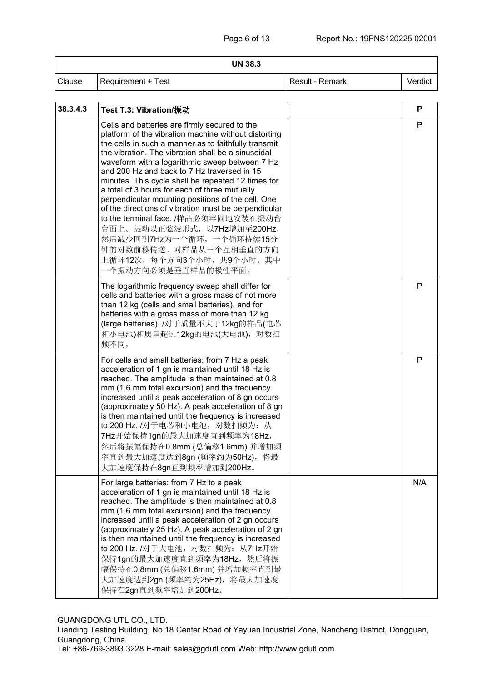#### **UN 38.3**

| Clause | Requirement + Test | . Result - Remark | Verdict |  |
|--------|--------------------|-------------------|---------|--|
|--------|--------------------|-------------------|---------|--|

| 38.3.4.3 | Test T.3: Vibration/振动                                                                                                                                                                                                                                                                                                                                                                                                                                                                                                                                                                                                                                                                                                    | P            |
|----------|---------------------------------------------------------------------------------------------------------------------------------------------------------------------------------------------------------------------------------------------------------------------------------------------------------------------------------------------------------------------------------------------------------------------------------------------------------------------------------------------------------------------------------------------------------------------------------------------------------------------------------------------------------------------------------------------------------------------------|--------------|
|          | Cells and batteries are firmly secured to the<br>platform of the vibration machine without distorting<br>the cells in such a manner as to faithfully transmit<br>the vibration. The vibration shall be a sinusoidal<br>waveform with a logarithmic sweep between 7 Hz<br>and 200 Hz and back to 7 Hz traversed in 15<br>minutes. This cycle shall be repeated 12 times for<br>a total of 3 hours for each of three mutually<br>perpendicular mounting positions of the cell. One<br>of the directions of vibration must be perpendicular<br>to the terminal face. /样品必须牢固地安装在振动台<br>台面上。振动以正弦波形式, 以7Hz增加至200Hz,<br>然后减少回到7Hz为一个循环, 一个循环持续15分<br>钟的对数前移传送。对样品从三个互相垂直的方向<br>上循环12次,每个方向3个小时,共9个小时。其中<br>一个振动方向必须是垂直样品的极性平面。 | $\mathsf{P}$ |
|          | The logarithmic frequency sweep shall differ for<br>cells and batteries with a gross mass of not more<br>than 12 kg (cells and small batteries), and for<br>batteries with a gross mass of more than 12 kg<br>(large batteries). /对于质量不大于12kg的样品(电芯<br>和小电池)和质量超过12kg的电池(大电池), 对数扫<br>频不同,                                                                                                                                                                                                                                                                                                                                                                                                                                | P            |
|          | For cells and small batteries: from 7 Hz a peak<br>acceleration of 1 gn is maintained until 18 Hz is<br>reached. The amplitude is then maintained at 0.8<br>mm (1.6 mm total excursion) and the frequency<br>increased until a peak acceleration of 8 gn occurs<br>(approximately 50 Hz). A peak acceleration of 8 gn<br>is then maintained until the frequency is increased<br>to 200 Hz. /对于电芯和小电池, 对数扫频为: 从<br>7Hz开始保持1gn的最大加速度直到频率为18Hz,<br>然后将振幅保持在0.8mm (总偏移1.6mm) 并增加频<br>率直到最大加速度达到8gn (频率约为50Hz), 将最<br>大加速度保持在8gn直到频率增加到200Hz。                                                                                                                                                                                  | P            |
|          | For large batteries: from 7 Hz to a peak<br>acceleration of 1 gn is maintained until 18 Hz is<br>reached. The amplitude is then maintained at 0.8<br>mm (1.6 mm total excursion) and the frequency<br>increased until a peak acceleration of 2 gn occurs<br>(approximately 25 Hz). A peak acceleration of 2 gn<br>is then maintained until the frequency is increased<br>to 200 Hz. /对于大电池, 对数扫频为: 从7Hz开始<br>保持1gn的最大加速度直到频率为18Hz, 然后将振<br>幅保持在0.8mm (总偏移1.6mm) 并增加频率直到最<br>大加速度达到2gn (频率约为25Hz), 将最大加速度<br>保持在2gn直到频率增加到200Hz。                                                                                                                                                                                           | N/A          |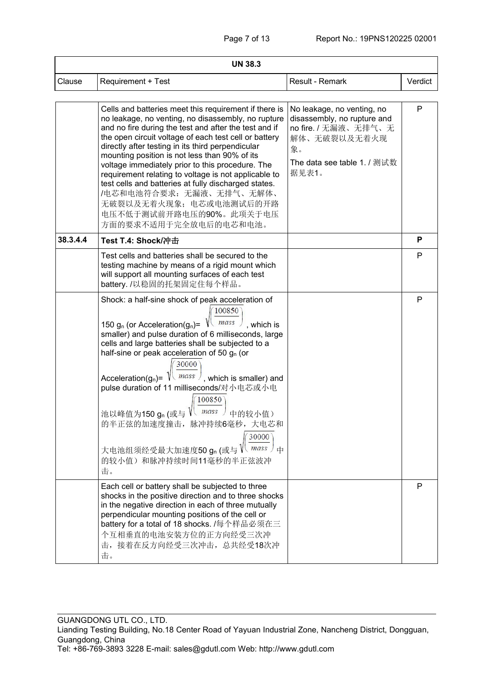| <b>UN 38.3</b> |                                                                                                                                                                                                                                                                                                                                                                                                                                                                                                                                                                                                                    |                                                                                                                                                 |         |  |
|----------------|--------------------------------------------------------------------------------------------------------------------------------------------------------------------------------------------------------------------------------------------------------------------------------------------------------------------------------------------------------------------------------------------------------------------------------------------------------------------------------------------------------------------------------------------------------------------------------------------------------------------|-------------------------------------------------------------------------------------------------------------------------------------------------|---------|--|
| Clause         | <b>Requirement + Test</b>                                                                                                                                                                                                                                                                                                                                                                                                                                                                                                                                                                                          | Result - Remark                                                                                                                                 | Verdict |  |
|                | Cells and batteries meet this requirement if there is<br>no leakage, no venting, no disassembly, no rupture<br>and no fire during the test and after the test and if<br>the open circuit voltage of each test cell or battery<br>directly after testing in its third perpendicular<br>mounting position is not less than 90% of its<br>voltage immediately prior to this procedure. The<br>requirement relating to voltage is not applicable to<br>test cells and batteries at fully discharged states.<br>/电芯和电池符合要求: 无漏液、无排气、无解体、<br>无破裂以及无着火现象; 电芯或电池测试后的开路<br>电压不低于测试前开路电压的90%。此项关于电压<br>方面的要求不适用于完全放电后的电芯和电池。 | No leakage, no venting, no<br>disassembly, no rupture and<br>no fire. / 无漏液、无排气、无<br>解体、无破裂以及无着火现<br>象。<br>The data see table 1. / 测试数<br>据见表1。 | P       |  |
| 38.3.4.4       | Test T.4: Shock/冲击                                                                                                                                                                                                                                                                                                                                                                                                                                                                                                                                                                                                 |                                                                                                                                                 | P       |  |
|                | Test cells and batteries shall be secured to the<br>testing machine by means of a rigid mount which<br>will support all mounting surfaces of each test<br>battery. /以稳固的托架固定住每个样品。                                                                                                                                                                                                                                                                                                                                                                                                                                 |                                                                                                                                                 | P       |  |
|                | Shock: a half-sine shock of peak acceleration of<br>100850<br>150 $g_n$ (or Acceleration( $g_n$ )=<br>mass<br>$\sqrt{ }$ , which is<br>smaller) and pulse duration of 6 milliseconds, large<br>cells and large batteries shall be subjected to a<br>half-sine or peak acceleration of 50 $g_n$ (or<br>30000<br>$mass$ , which is smaller) and<br>Acceleration( $g_n$ )=<br>pulse duration of 11 milliseconds/对小电芯或小电<br>100850<br>mass<br>池以峰值为150 gn (或与<br>中的较小值)<br>的半正弦的加速度撞击, 脉冲持续6毫秒, 大电芯和<br>30000<br>$mass$ $\pm$<br>大电池组须经受最大加速度50 gn (或与<br>的较小值)和脉冲持续时间11毫秒的半正弦波冲<br>击。                                 |                                                                                                                                                 | P       |  |
|                | Each cell or battery shall be subjected to three<br>shocks in the positive direction and to three shocks<br>in the negative direction in each of three mutually<br>perpendicular mounting positions of the cell or<br>battery for a total of 18 shocks. /每个样品必须在三<br>个互相垂直的电池安装方位的正方向经受三次冲<br>击, 接着在反方向经受三次冲击, 总共经受18次冲<br>击。                                                                                                                                                                                                                                                                                      |                                                                                                                                                 | P       |  |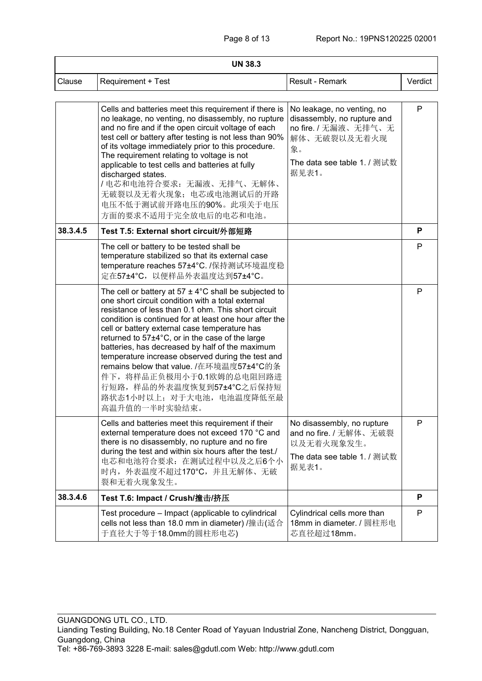| <b>UN 38.3</b> |                                                                                                                                                                                                                                                                                                                                                                                                                                                                                                                                                                                                  |                                                                                                                                                 |         |  |
|----------------|--------------------------------------------------------------------------------------------------------------------------------------------------------------------------------------------------------------------------------------------------------------------------------------------------------------------------------------------------------------------------------------------------------------------------------------------------------------------------------------------------------------------------------------------------------------------------------------------------|-------------------------------------------------------------------------------------------------------------------------------------------------|---------|--|
| Clause         | <b>Requirement + Test</b>                                                                                                                                                                                                                                                                                                                                                                                                                                                                                                                                                                        | Result - Remark                                                                                                                                 | Verdict |  |
|                | Cells and batteries meet this requirement if there is<br>no leakage, no venting, no disassembly, no rupture<br>and no fire and if the open circuit voltage of each<br>test cell or battery after testing is not less than 90%<br>of its voltage immediately prior to this procedure.<br>The requirement relating to voltage is not<br>applicable to test cells and batteries at fully<br>discharged states.<br>/电芯和电池符合要求: 无漏液、无排气、无解体、<br>无破裂以及无着火现象; 电芯或电池测试后的开路<br>电压不低于测试前开路电压的90%。此项关于电压<br>方面的要求不适用于完全放电后的电芯和电池。                                                                           | No leakage, no venting, no<br>disassembly, no rupture and<br>no fire. / 无漏液、无排气、无<br>解体、无破裂以及无着火现<br>象。<br>The data see table 1. / 测试数<br>据见表1。 | P       |  |
| 38.3.4.5       | Test T.5: External short circuit/外部短路                                                                                                                                                                                                                                                                                                                                                                                                                                                                                                                                                            |                                                                                                                                                 | P       |  |
|                | The cell or battery to be tested shall be<br>temperature stabilized so that its external case<br>temperature reaches 57±4°C. /保持测试环境温度稳<br>定在57±4℃, 以便样品外表温度达到57±4℃。                                                                                                                                                                                                                                                                                                                                                                                                                             |                                                                                                                                                 | P       |  |
|                | The cell or battery at 57 $\pm$ 4°C shall be subjected to<br>one short circuit condition with a total external<br>resistance of less than 0.1 ohm. This short circuit<br>condition is continued for at least one hour after the<br>cell or battery external case temperature has<br>returned to 57±4°C, or in the case of the large<br>batteries, has decreased by half of the maximum<br>temperature increase observed during the test and<br>remains below that value. /在环境温度57±4°C的条<br>件下, 将样品正负极用小于0.1欧姆的总电阻回路进<br>行短路, 样品的外表温度恢复到57±4°C之后保持短<br>路状态1小时以上; 对于大电池, 电池温度降低至最<br>高温升值的一半时实验结束。 |                                                                                                                                                 | P       |  |
|                | Cells and batteries meet this requirement if their<br>external temperature does not exceed 170 °C and<br>there is no disassembly, no rupture and no fire<br>during the test and within six hours after the test./<br>电芯和电池符合要求: 在测试过程中以及之后6个小<br>时内, 外表温度不超过170°C, 并且无解体、无破<br>裂和无着火现象发生。                                                                                                                                                                                                                                                                                                        | No disassembly, no rupture<br>and no fire. / 无解体、无破裂<br>以及无着火现象发生。<br>The data see table 1. / 测试数<br>据见表1。                                      | P       |  |
| 38.3.4.6       | Test T.6: Impact / Crush/撞击/挤压                                                                                                                                                                                                                                                                                                                                                                                                                                                                                                                                                                   |                                                                                                                                                 | P       |  |
|                | Test procedure – Impact (applicable to cylindrical<br>cells not less than 18.0 mm in diameter) /撞击(适合<br>于直径大于等于18.0mm的圆柱形电芯)                                                                                                                                                                                                                                                                                                                                                                                                                                                                    | Cylindrical cells more than<br>18mm in diameter. / 圆柱形电<br>芯直径超过18mm。                                                                           | P       |  |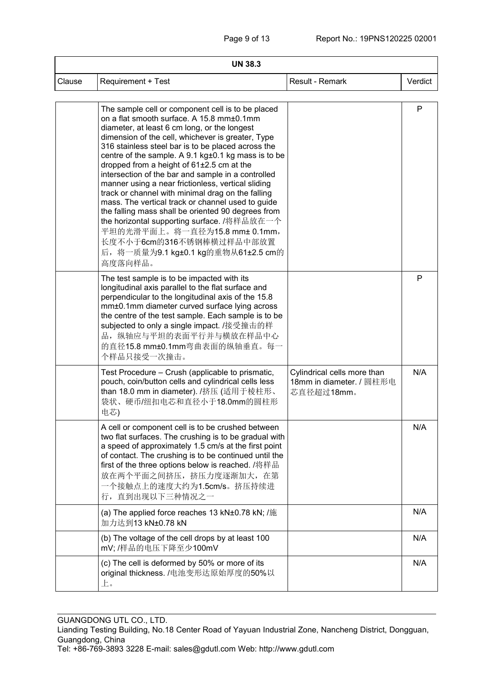| <b>UN 38.3</b> |                                                                                                                                                                                                                                                                                                                                                                                                                                                                                                                                                                                                                                                                                                                                                                                                             |                                                                       |         |  |
|----------------|-------------------------------------------------------------------------------------------------------------------------------------------------------------------------------------------------------------------------------------------------------------------------------------------------------------------------------------------------------------------------------------------------------------------------------------------------------------------------------------------------------------------------------------------------------------------------------------------------------------------------------------------------------------------------------------------------------------------------------------------------------------------------------------------------------------|-----------------------------------------------------------------------|---------|--|
| Clause         | Requirement + Test                                                                                                                                                                                                                                                                                                                                                                                                                                                                                                                                                                                                                                                                                                                                                                                          | Result - Remark                                                       | Verdict |  |
|                | The sample cell or component cell is to be placed<br>on a flat smooth surface. A 15.8 mm±0.1mm<br>diameter, at least 6 cm long, or the longest<br>dimension of the cell, whichever is greater, Type<br>316 stainless steel bar is to be placed across the<br>centre of the sample. A 9.1 kg±0.1 kg mass is to be<br>dropped from a height of $61\pm2.5$ cm at the<br>intersection of the bar and sample in a controlled<br>manner using a near frictionless, vertical sliding<br>track or channel with minimal drag on the falling<br>mass. The vertical track or channel used to guide<br>the falling mass shall be oriented 90 degrees from<br>the horizontal supporting surface. /将样品放在一个<br>平坦的光滑平面上。将一直径为15.8 mm± 0.1mm,<br>长度不小于6cm的316不锈钢棒横过样品中部放置<br>后, 将一质量为9.1 kg±0.1 kg的重物从61±2.5 cm的<br>高度落向样品。 |                                                                       | P       |  |
|                | The test sample is to be impacted with its<br>longitudinal axis parallel to the flat surface and<br>perpendicular to the longitudinal axis of the 15.8<br>mm±0.1mm diameter curved surface lying across<br>the centre of the test sample. Each sample is to be<br>subjected to only a single impact. /接受撞击的样<br>品, 纵轴应与平坦的表面平行并与横放在样品中心<br>的直径15.8 mm±0.1mm弯曲表面的纵轴垂直。每一<br>个样品只接受一次撞击。                                                                                                                                                                                                                                                                                                                                                                                                                      |                                                                       | P       |  |
|                | Test Procedure – Crush (applicable to prismatic,<br>pouch, coin/button cells and cylindrical cells less<br>than 18.0 mm in diameter). /挤压 (适用于棱柱形、<br>袋状、硬币/纽扣电芯和直径小于18.0mm的圆柱形<br>电芯)                                                                                                                                                                                                                                                                                                                                                                                                                                                                                                                                                                                                                      | Cylindrical cells more than<br>18mm in diameter. / 圆柱形电<br>芯直径超过18mm。 | N/A     |  |
|                | A cell or component cell is to be crushed between<br>two flat surfaces. The crushing is to be gradual with<br>a speed of approximately 1.5 cm/s at the first point<br>of contact. The crushing is to be continued until the<br>first of the three options below is reached. /将样品<br>放在两个平面之间挤压, 挤压力度逐渐加大, 在第<br>一个接触点上的速度大约为1.5cm/s。挤压持续进<br>行,直到出现以下三种情况之一                                                                                                                                                                                                                                                                                                                                                                                                                                                 |                                                                       | N/A     |  |
|                | (a) The applied force reaches 13 kN±0.78 kN; /施<br>加力达到13 kN±0.78 kN                                                                                                                                                                                                                                                                                                                                                                                                                                                                                                                                                                                                                                                                                                                                        |                                                                       | N/A     |  |
|                | (b) The voltage of the cell drops by at least 100<br>mV; /样品的电压下降至少100mV                                                                                                                                                                                                                                                                                                                                                                                                                                                                                                                                                                                                                                                                                                                                    |                                                                       | N/A     |  |
|                | (c) The cell is deformed by 50% or more of its<br>original thickness. /电池变形达原始厚度的50%以<br>上。                                                                                                                                                                                                                                                                                                                                                                                                                                                                                                                                                                                                                                                                                                                 |                                                                       | N/A     |  |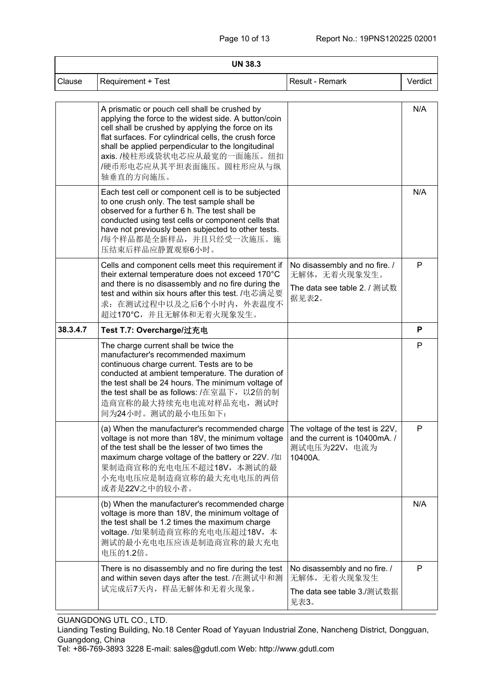| <b>UN 38.3</b> |                                                                                                                                                                                                                                                                                                                                                   |                                                                                              |         |  |
|----------------|---------------------------------------------------------------------------------------------------------------------------------------------------------------------------------------------------------------------------------------------------------------------------------------------------------------------------------------------------|----------------------------------------------------------------------------------------------|---------|--|
| Clause         | <b>Requirement + Test</b>                                                                                                                                                                                                                                                                                                                         | Result - Remark                                                                              | Verdict |  |
|                | A prismatic or pouch cell shall be crushed by<br>applying the force to the widest side. A button/coin<br>cell shall be crushed by applying the force on its<br>flat surfaces. For cylindrical cells, the crush force<br>shall be applied perpendicular to the longitudinal<br>axis. /棱柱形或袋状电芯应从最宽的一面施压。纽扣<br>/硬币形电芯应从其平坦表面施压。圆柱形应从与纵<br>轴垂直的方向施压。 |                                                                                              | N/A     |  |
|                | Each test cell or component cell is to be subjected<br>to one crush only. The test sample shall be<br>observed for a further 6 h. The test shall be<br>conducted using test cells or component cells that<br>have not previously been subjected to other tests.<br>/每个样品都是全新样品, 并且只经受一次施压。施<br>压结束后样品应静置观察6小时。                                    |                                                                                              | N/A     |  |
|                | Cells and component cells meet this requirement if<br>their external temperature does not exceed 170°C<br>and there is no disassembly and no fire during the<br>test and within six hours after this test. /电芯满足要<br>求: 在测试过程中以及之后6个小时内, 外表温度不<br>超过170°C, 并且无解体和无着火现象发生。                                                                         | No disassembly and no fire. /<br>无解体,无着火现象发生。<br>The data see table 2. / 测试数<br>据见表2。        | P       |  |
| 38.3.4.7       | Test T.7: Overcharge/过充电                                                                                                                                                                                                                                                                                                                          |                                                                                              | P       |  |
|                | The charge current shall be twice the<br>manufacturer's recommended maximum<br>continuous charge current. Tests are to be<br>conducted at ambient temperature. The duration of<br>the test shall be 24 hours. The minimum voltage of<br>the test shall be as follows: /在室温下, 以2倍的制<br>造商宣称的最大持续充电电流对样品充电, 测试时<br>间为24小时。测试的最小电压如下:                |                                                                                              | P       |  |
|                | (a) When the manufacturer's recommended charge<br>voltage is not more than 18V, the minimum voltage<br>of the test shall be the lesser of two times the<br>maximum charge voltage of the battery or 22V. /如<br>果制造商宣称的充电电压不超过18V, 本测试的最<br>小充电电压应是制造商宣称的最大充电电压的两倍<br>或者是22V之中的较小者。                                                                | The voltage of the test is 22V,<br>and the current is 10400mA. /<br>测试电压为22V, 电流为<br>10400A. | P       |  |
|                | (b) When the manufacturer's recommended charge<br>voltage is more than 18V, the minimum voltage of<br>the test shall be 1.2 times the maximum charge<br>voltage. /如果制造商宣称的充电电压超过18V, 本<br>测试的最小充电电压应该是制造商宣称的最大充电<br>电压的1.2倍。                                                                                                                      |                                                                                              | N/A     |  |
|                | There is no disassembly and no fire during the test<br>and within seven days after the test. /在测试中和测<br>试完成后7天内,样品无解体和无着火现象。                                                                                                                                                                                                                      | No disassembly and no fire. /<br>无解体,无着火现象发生<br>The data see table 3./测试数据<br>见表3。           | P       |  |

GUANGDONG UTL CO., LTD.

Lianding Testing Building, No.18 Center Road of Yayuan Industrial Zone, Nancheng District, Dongguan, Guangdong, China

Tel: +86-769-3893 3228 E-mail: [sales@gdutl.com](mailto:sales@gdutl.com) Web: http://www.gdutl.com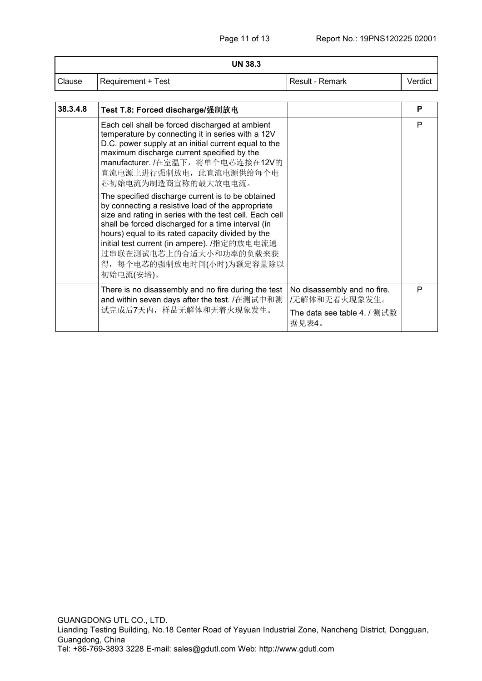|        | <b>UN 38.3</b>            |                   |         |
|--------|---------------------------|-------------------|---------|
| Clause | <b>Requirement + Test</b> | l Result - Remark | Verdict |

| 38.3.4.8 | Test T.8: Forced discharge/强制放电                                                                                                                                                                                                                                                                                                                                                                 |                                              | P |
|----------|-------------------------------------------------------------------------------------------------------------------------------------------------------------------------------------------------------------------------------------------------------------------------------------------------------------------------------------------------------------------------------------------------|----------------------------------------------|---|
|          | Each cell shall be forced discharged at ambient<br>temperature by connecting it in series with a 12V<br>D.C. power supply at an initial current equal to the<br>maximum discharge current specified by the<br>manufacturer. /在室温下, 将单个电芯连接在12V的<br>直流电源上进行强制放电, 此直流电源供给每个电<br>芯初始电流为制造商宣称的最大放电电流。                                                                                               |                                              | P |
|          | The specified discharge current is to be obtained<br>by connecting a resistive load of the appropriate<br>size and rating in series with the test cell. Each cell<br>shall be forced discharged for a time interval (in<br>hours) equal to its rated capacity divided by the<br>initial test current (in ampere). /指定的放电电流通<br>过串联在测试电芯上的合适大小和功率的负载来获<br>得, 每个电芯的强制放电时间(小时)为额定容量除以<br>初始电流(安培)。 |                                              |   |
|          | There is no disassembly and no fire during the test<br>and within seven days after the test. /在测试中和测                                                                                                                                                                                                                                                                                            | No disassembly and no fire.<br>/无解体和无着火现象发生。 | P |
|          | 试完成后7天内,样品无解体和无着火现象发生。                                                                                                                                                                                                                                                                                                                                                                          | The data see table 4. / 测试数<br>据见表4。         |   |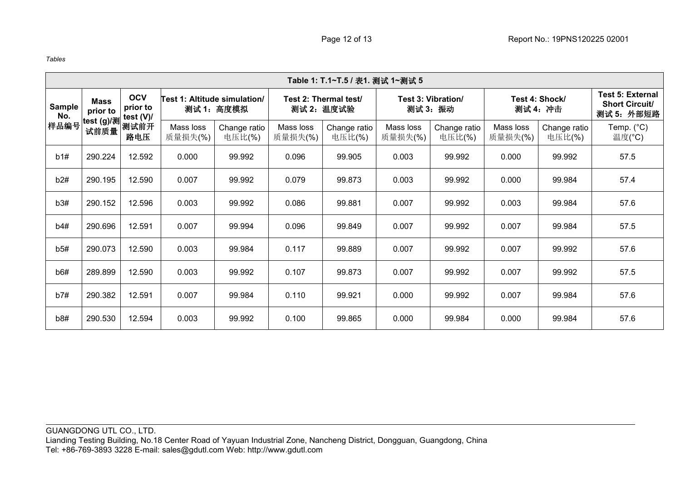*Tables*

|                              | Table 1: T.1~T.5 / 表1. 测试 1~测试 5                           |                                     |                                            |                      |                                     |                      |                                |                      |                            |                                                                |                        |                               |
|------------------------------|------------------------------------------------------------|-------------------------------------|--------------------------------------------|----------------------|-------------------------------------|----------------------|--------------------------------|----------------------|----------------------------|----------------------------------------------------------------|------------------------|-------------------------------|
| <b>Sample</b><br>No.<br>样品编号 | <b>Mass</b><br>prior to<br><sup> </sup> test (g)/测<br>试前质量 | <b>OCV</b><br>prior to<br>test (V)/ | Test 1: Altitude simulation/<br>测试 1: 高度模拟 |                      | Test 2: Thermal test/<br>测试 2: 温度试验 |                      | Test 3: Vibration/<br>测试 3: 振动 |                      | Test 4: Shock/<br>测试 4: 冲击 | <b>Test 5: External</b><br><b>Short Circuit/</b><br>测试 5: 外部短路 |                        |                               |
|                              |                                                            |                                     | 测试前开<br>路电压                                | Mass loss<br>质量损失(%) | Change ratio<br>电压比(%)              | Mass loss<br>质量损失(%) | Change ratio<br>电压比(%)         | Mass loss<br>质量损失(%) | Change ratio<br>电压比(%)     | Mass loss<br>质量损失(%)                                           | Change ratio<br>电压比(%) | Temp. $(^{\circ}C)$<br>温度(°C) |
| b1#                          | 290.224                                                    | 12.592                              | 0.000                                      | 99.992               | 0.096                               | 99.905               | 0.003                          | 99.992               | 0.000                      | 99.992                                                         | 57.5                   |                               |
| b2#                          | 290.195                                                    | 12.590                              | 0.007                                      | 99.992               | 0.079                               | 99.873               | 0.003                          | 99.992               | 0.000                      | 99.984                                                         | 57.4                   |                               |
| b3#                          | 290.152                                                    | 12.596                              | 0.003                                      | 99.992               | 0.086                               | 99.881               | 0.007                          | 99.992               | 0.003                      | 99.984                                                         | 57.6                   |                               |
| b4#                          | 290.696                                                    | 12.591                              | 0.007                                      | 99.994               | 0.096                               | 99.849               | 0.007                          | 99.992               | 0.007                      | 99.984                                                         | 57.5                   |                               |
| b5#                          | 290.073                                                    | 12.590                              | 0.003                                      | 99.984               | 0.117                               | 99.889               | 0.007                          | 99.992               | 0.007                      | 99.992                                                         | 57.6                   |                               |
| b6#                          | 289.899                                                    | 12.590                              | 0.003                                      | 99.992               | 0.107                               | 99.873               | 0.007                          | 99.992               | 0.007                      | 99.992                                                         | 57.5                   |                               |
| b7#                          | 290.382                                                    | 12.591                              | 0.007                                      | 99.984               | 0.110                               | 99.921               | 0.000                          | 99.992               | 0.007                      | 99.984                                                         | 57.6                   |                               |
| b8#                          | 290.530                                                    | 12.594                              | 0.003                                      | 99.992               | 0.100                               | 99.865               | 0.000                          | 99.984               | 0.000                      | 99.984                                                         | 57.6                   |                               |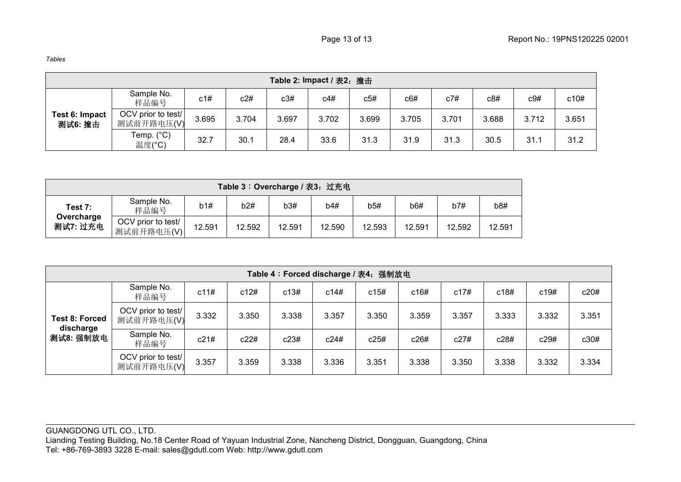| Table 2: Impact / 表2: 撞击  |                                  |       |       |       |       |       |       |       |       |       |       |
|---------------------------|----------------------------------|-------|-------|-------|-------|-------|-------|-------|-------|-------|-------|
|                           | Sample No.<br>样品编号               | c1#   | c2#   | c3#   | c4#   | c5#   | c6#   | c7#   | c8#   | c9#   | c10#  |
| Test 6: Impact<br>测试6: 撞击 | OCV prior to test/<br>测试前开路电压(V) | 3.695 | 3.704 | 3.697 | 3.702 | 3.699 | 3.705 | 3.701 | 3.688 | 3.712 | 3.651 |
|                           | Temp. (°C)<br>温度(°C)             | 32.7  | 30.1  | 28.4  | 33.6  | 31.3  | 31.9  | 31.3  | 30.5  | 31.1  | 31.2  |

| Table 3: Overcharge / 表3: 过充电     |                                  |        |        |        |        |        |        |        |        |  |
|-----------------------------------|----------------------------------|--------|--------|--------|--------|--------|--------|--------|--------|--|
| Test 7:<br>Overcharge<br>测试7: 过充电 | Sample No.<br>样品编号               | b1#    | b2#    | b3#    | b4#    | b5#    | b6#    | b7#    | b8#    |  |
|                                   | OCV prior to test/<br>测试前开路电压(V) | 12.591 | 12.592 | 12.591 | 12.590 | 12.593 | 12.591 | 12.592 | 12.591 |  |

| Table 4: Forced discharge / 表4: 强制放电            |                                  |       |       |       |       |       |       |       |       |       |       |
|-------------------------------------------------|----------------------------------|-------|-------|-------|-------|-------|-------|-------|-------|-------|-------|
| <b>Test 8: Forced</b><br>discharge<br>测试8: 强制放电 | Sample No.<br>样品编号               | c11#  | c12#  | c13#  | c14#  | c15#  | c16#  | c17#  | c18#  | c19#  | c20#  |
|                                                 | OCV prior to test/<br>测试前开路电压(V) | 3.332 | 3.350 | 3.338 | 3.357 | 3.350 | 3.359 | 3.357 | 3.333 | 3.332 | 3.351 |
|                                                 | Sample No.<br>样品编号               | c21#  | c22#  | c23#  | c24#  | c25#  | c26#  | c27#  | c28#  | c29#  | c30#  |
|                                                 | OCV prior to test/<br>测试前开路电压(V) | 3.357 | 3.359 | 3.338 | 3.336 | 3.351 | 3.338 | 3.350 | 3.338 | 3.332 | 3.334 |

GUANGDONG UTL CO., LTD. Lianding Testing Building, No.18 Center Road of Yayuan Industrial Zone, Nancheng District, Dongguan, Guangdong, China Tel: +86-769-3893 3228 E-mail: [sales@gdutl.com](mailto:sales@gdutl.com) Web: http://www.gdutl.com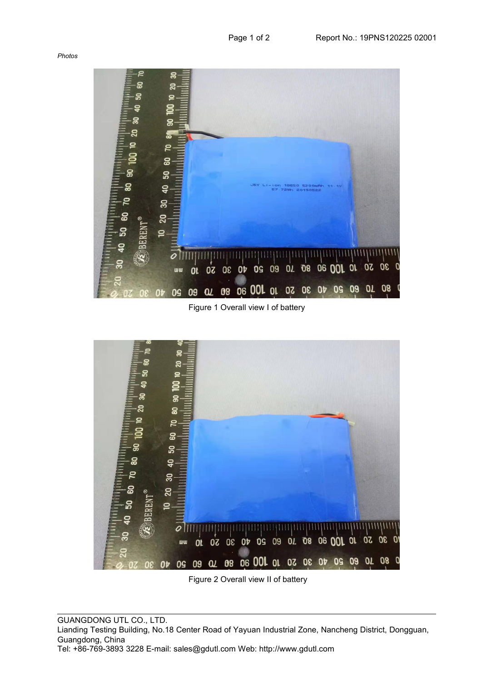*Photos*



Figure 1 Overall view I of battery



Figure 2 Overall view II of battery